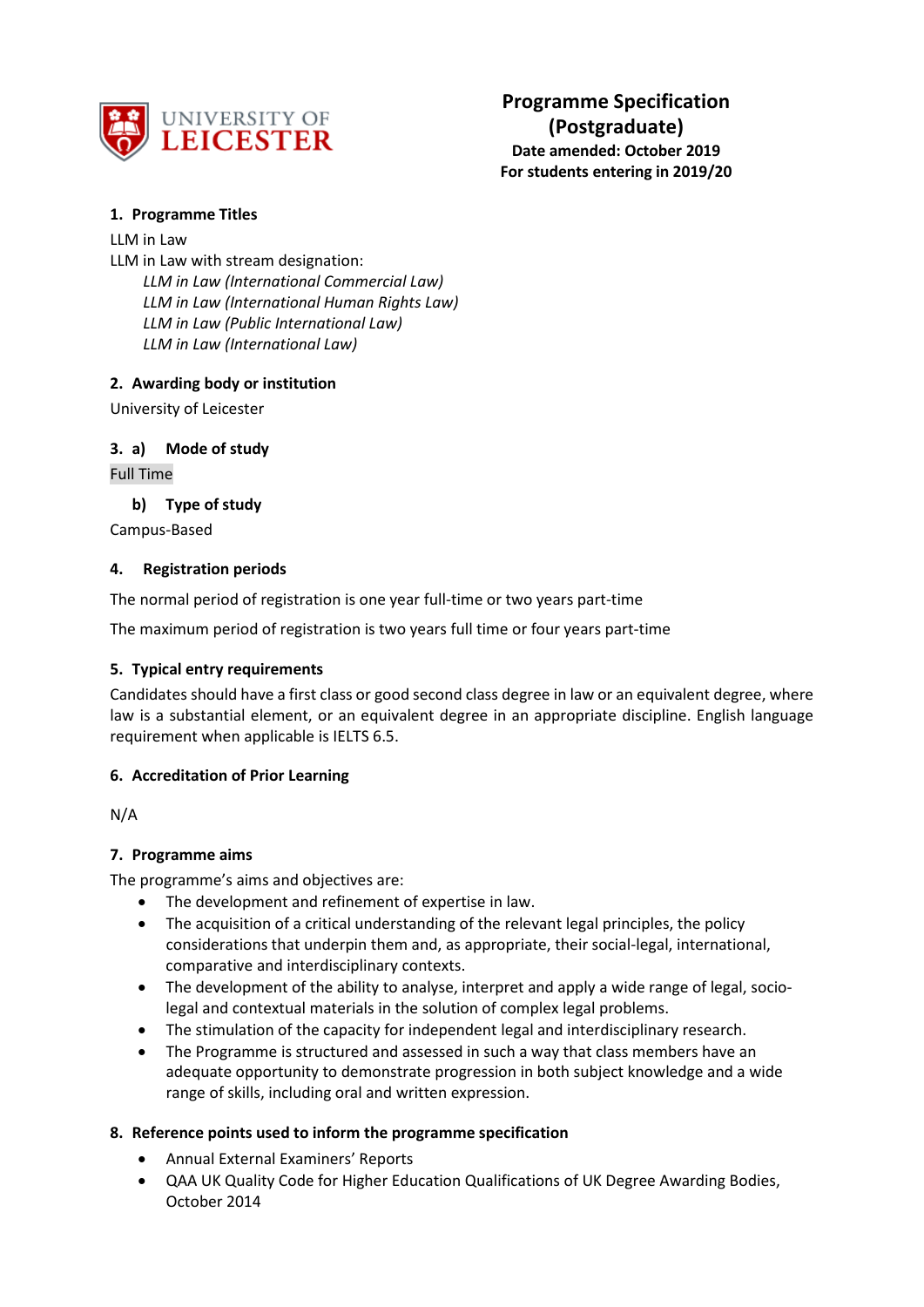

# **1. Programme Titles**

## LLM in Law

LLM in Law with stream designation: *LLM in Law (International Commercial Law) LLM in Law (International Human Rights Law) LLM in Law (Public International Law) LLM in Law (International Law)*

# **2. Awarding body or institution**

University of Leicester

# **3. a) Mode of study**

Full Time

## **b) Type of study**

Campus-Based

## **4. Registration periods**

The normal period of registration is one year full-time or two years part-time

The maximum period of registration is two years full time or four years part-time

### **5. Typical entry requirements**

Candidates should have a first class or good second class degree in law or an equivalent degree, where law is a substantial element, or an equivalent degree in an appropriate discipline. English language requirement when applicable is IELTS 6.5.

# **6. Accreditation of Prior Learning**

N/A

# **7. Programme aims**

The programme's aims and objectives are:

- The development and refinement of expertise in law.
- The acquisition of a critical understanding of the relevant legal principles, the policy considerations that underpin them and, as appropriate, their social-legal, international, comparative and interdisciplinary contexts.
- The development of the ability to analyse, interpret and apply a wide range of legal, sociolegal and contextual materials in the solution of complex legal problems.
- The stimulation of the capacity for independent legal and interdisciplinary research.
- The Programme is structured and assessed in such a way that class members have an adequate opportunity to demonstrate progression in both subject knowledge and a wide range of skills, including oral and written expression.

# **8. Reference points used to inform the programme specification**

- Annual External Examiners' Reports
- QAA UK Quality Code for Higher Education Qualifications of UK Degree Awarding Bodies, October 2014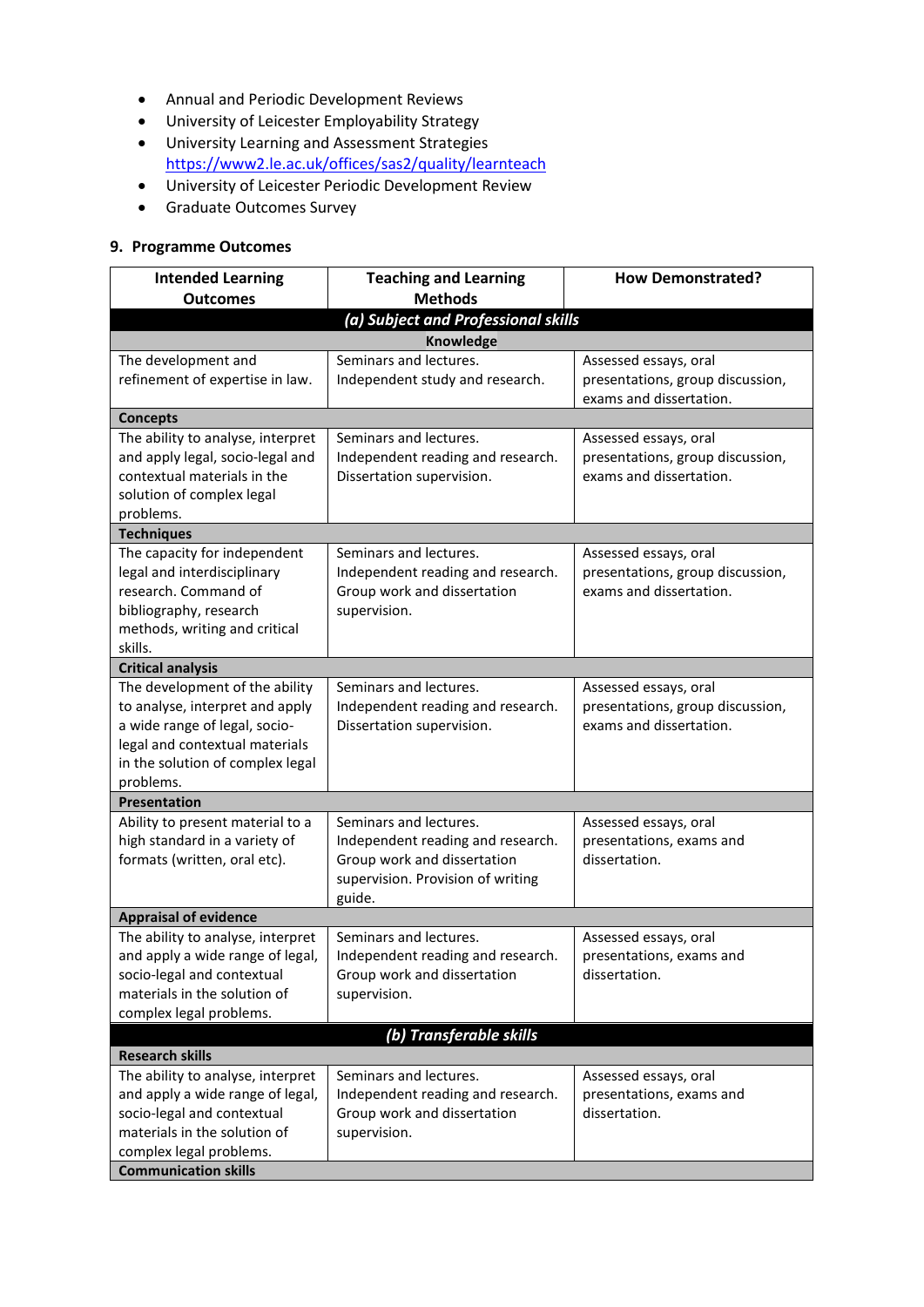- Annual and Periodic Development Reviews
- University of Leicester Employability Strategy
- University Learning and Assessment Strategies <https://www2.le.ac.uk/offices/sas2/quality/learnteach>
- University of Leicester Periodic Development Review
- Graduate Outcomes Survey

# **9. Programme Outcomes**

| <b>Intended Learning</b>                                    | <b>Teaching and Learning</b>                                | <b>How Demonstrated?</b>                                  |  |  |  |  |  |
|-------------------------------------------------------------|-------------------------------------------------------------|-----------------------------------------------------------|--|--|--|--|--|
| <b>Outcomes</b>                                             | <b>Methods</b>                                              |                                                           |  |  |  |  |  |
| (a) Subject and Professional skills<br>Knowledge            |                                                             |                                                           |  |  |  |  |  |
| The development and                                         | Seminars and lectures.                                      | Assessed essays, oral                                     |  |  |  |  |  |
| refinement of expertise in law.                             | Independent study and research.                             | presentations, group discussion,                          |  |  |  |  |  |
|                                                             |                                                             | exams and dissertation.                                   |  |  |  |  |  |
| <b>Concepts</b>                                             |                                                             |                                                           |  |  |  |  |  |
| The ability to analyse, interpret                           | Seminars and lectures.                                      | Assessed essays, oral                                     |  |  |  |  |  |
| and apply legal, socio-legal and                            | Independent reading and research.                           | presentations, group discussion,                          |  |  |  |  |  |
| contextual materials in the                                 | Dissertation supervision.                                   | exams and dissertation.                                   |  |  |  |  |  |
| solution of complex legal                                   |                                                             |                                                           |  |  |  |  |  |
| problems.                                                   |                                                             |                                                           |  |  |  |  |  |
| <b>Techniques</b>                                           |                                                             |                                                           |  |  |  |  |  |
| The capacity for independent<br>legal and interdisciplinary | Seminars and lectures.<br>Independent reading and research. | Assessed essays, oral<br>presentations, group discussion, |  |  |  |  |  |
| research. Command of                                        | Group work and dissertation                                 | exams and dissertation.                                   |  |  |  |  |  |
| bibliography, research                                      | supervision.                                                |                                                           |  |  |  |  |  |
| methods, writing and critical                               |                                                             |                                                           |  |  |  |  |  |
| skills.                                                     |                                                             |                                                           |  |  |  |  |  |
| <b>Critical analysis</b>                                    |                                                             |                                                           |  |  |  |  |  |
| The development of the ability                              | Seminars and lectures.                                      | Assessed essays, oral                                     |  |  |  |  |  |
| to analyse, interpret and apply                             | Independent reading and research.                           | presentations, group discussion,                          |  |  |  |  |  |
| a wide range of legal, socio-                               | Dissertation supervision.                                   | exams and dissertation.                                   |  |  |  |  |  |
| legal and contextual materials                              |                                                             |                                                           |  |  |  |  |  |
| in the solution of complex legal<br>problems.               |                                                             |                                                           |  |  |  |  |  |
| <b>Presentation</b>                                         |                                                             |                                                           |  |  |  |  |  |
| Ability to present material to a                            | Seminars and lectures.                                      | Assessed essays, oral                                     |  |  |  |  |  |
| high standard in a variety of                               | Independent reading and research.                           | presentations, exams and                                  |  |  |  |  |  |
| formats (written, oral etc).                                | Group work and dissertation                                 | dissertation.                                             |  |  |  |  |  |
|                                                             | supervision. Provision of writing                           |                                                           |  |  |  |  |  |
|                                                             | guide.                                                      |                                                           |  |  |  |  |  |
| <b>Appraisal of evidence</b>                                |                                                             |                                                           |  |  |  |  |  |
| The ability to analyse, interpret                           | Seminars and lectures.                                      | Assessed essays, oral                                     |  |  |  |  |  |
| and apply a wide range of legal,                            | Independent reading and research.                           | presentations, exams and                                  |  |  |  |  |  |
| socio-legal and contextual<br>materials in the solution of  | Group work and dissertation                                 | dissertation.                                             |  |  |  |  |  |
| complex legal problems.                                     | supervision.                                                |                                                           |  |  |  |  |  |
|                                                             |                                                             |                                                           |  |  |  |  |  |
| (b) Transferable skills<br><b>Research skills</b>           |                                                             |                                                           |  |  |  |  |  |
| The ability to analyse, interpret                           | Seminars and lectures.                                      | Assessed essays, oral                                     |  |  |  |  |  |
| and apply a wide range of legal,                            | Independent reading and research.                           | presentations, exams and                                  |  |  |  |  |  |
| socio-legal and contextual                                  | Group work and dissertation                                 | dissertation.                                             |  |  |  |  |  |
| materials in the solution of                                | supervision.                                                |                                                           |  |  |  |  |  |
| complex legal problems.                                     |                                                             |                                                           |  |  |  |  |  |
| <b>Communication skills</b>                                 |                                                             |                                                           |  |  |  |  |  |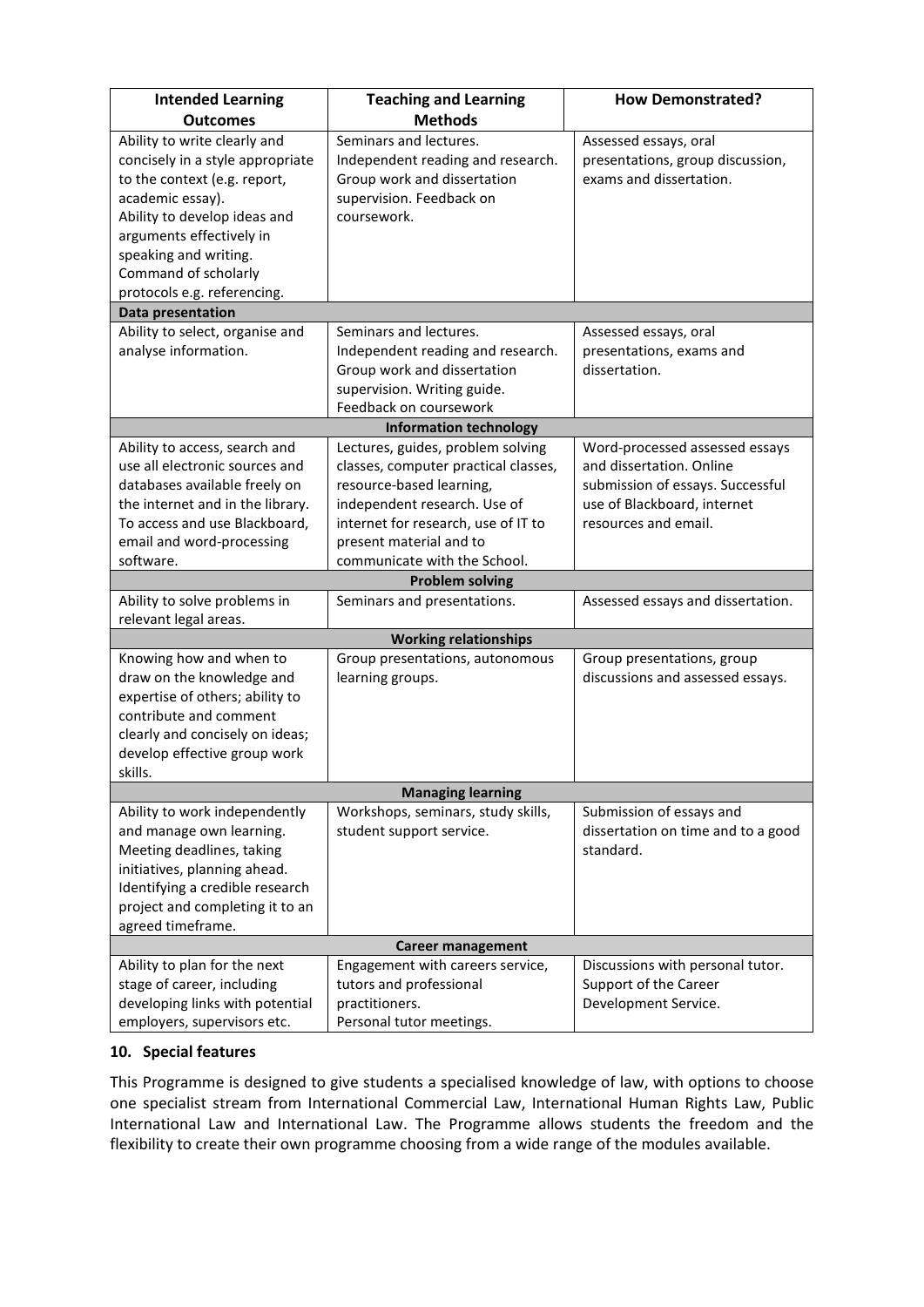| <b>Intended Learning</b><br><b>Outcomes</b> | <b>Teaching and Learning</b><br><b>Methods</b> | <b>How Demonstrated?</b>           |
|---------------------------------------------|------------------------------------------------|------------------------------------|
|                                             | Seminars and lectures.                         |                                    |
| Ability to write clearly and                |                                                | Assessed essays, oral              |
| concisely in a style appropriate            | Independent reading and research.              | presentations, group discussion,   |
| to the context (e.g. report,                | Group work and dissertation                    | exams and dissertation.            |
| academic essay).                            | supervision. Feedback on                       |                                    |
| Ability to develop ideas and                | coursework.                                    |                                    |
| arguments effectively in                    |                                                |                                    |
| speaking and writing.                       |                                                |                                    |
| Command of scholarly                        |                                                |                                    |
| protocols e.g. referencing.                 |                                                |                                    |
| Data presentation                           |                                                |                                    |
| Ability to select, organise and             | Seminars and lectures.                         | Assessed essays, oral              |
| analyse information.                        | Independent reading and research.              | presentations, exams and           |
|                                             | Group work and dissertation                    | dissertation.                      |
|                                             | supervision. Writing guide.                    |                                    |
|                                             | Feedback on coursework                         |                                    |
|                                             | <b>Information technology</b>                  |                                    |
| Ability to access, search and               | Lectures, guides, problem solving              | Word-processed assessed essays     |
| use all electronic sources and              | classes, computer practical classes,           | and dissertation. Online           |
| databases available freely on               | resource-based learning,                       | submission of essays. Successful   |
| the internet and in the library.            | independent research. Use of                   | use of Blackboard, internet        |
| To access and use Blackboard,               | internet for research, use of IT to            | resources and email.               |
| email and word-processing                   | present material and to                        |                                    |
| software.                                   | communicate with the School.                   |                                    |
|                                             | <b>Problem solving</b>                         |                                    |
| Ability to solve problems in                | Seminars and presentations.                    | Assessed essays and dissertation.  |
| relevant legal areas.                       |                                                |                                    |
|                                             | <b>Working relationships</b>                   |                                    |
| Knowing how and when to                     | Group presentations, autonomous                | Group presentations, group         |
| draw on the knowledge and                   | learning groups.                               | discussions and assessed essays.   |
| expertise of others; ability to             |                                                |                                    |
| contribute and comment                      |                                                |                                    |
| clearly and concisely on ideas;             |                                                |                                    |
| develop effective group work                |                                                |                                    |
| skills.                                     |                                                |                                    |
|                                             | <b>Managing learning</b>                       |                                    |
| Ability to work independently               | Workshops, seminars, study skills,             | Submission of essays and           |
| and manage own learning.                    | student support service.                       | dissertation on time and to a good |
| Meeting deadlines, taking                   |                                                | standard.                          |
| initiatives, planning ahead.                |                                                |                                    |
| Identifying a credible research             |                                                |                                    |
| project and completing it to an             |                                                |                                    |
| agreed timeframe.                           |                                                |                                    |
|                                             | <b>Career management</b>                       |                                    |
| Ability to plan for the next                | Engagement with careers service,               | Discussions with personal tutor.   |
| stage of career, including                  | tutors and professional                        | Support of the Career              |
| developing links with potential             | practitioners.                                 | Development Service.               |
| employers, supervisors etc.                 | Personal tutor meetings.                       |                                    |

# **10. Special features**

This Programme is designed to give students a specialised knowledge of law, with options to choose one specialist stream from International Commercial Law, International Human Rights Law, Public International Law and International Law. The Programme allows students the freedom and the flexibility to create their own programme choosing from a wide range of the modules available.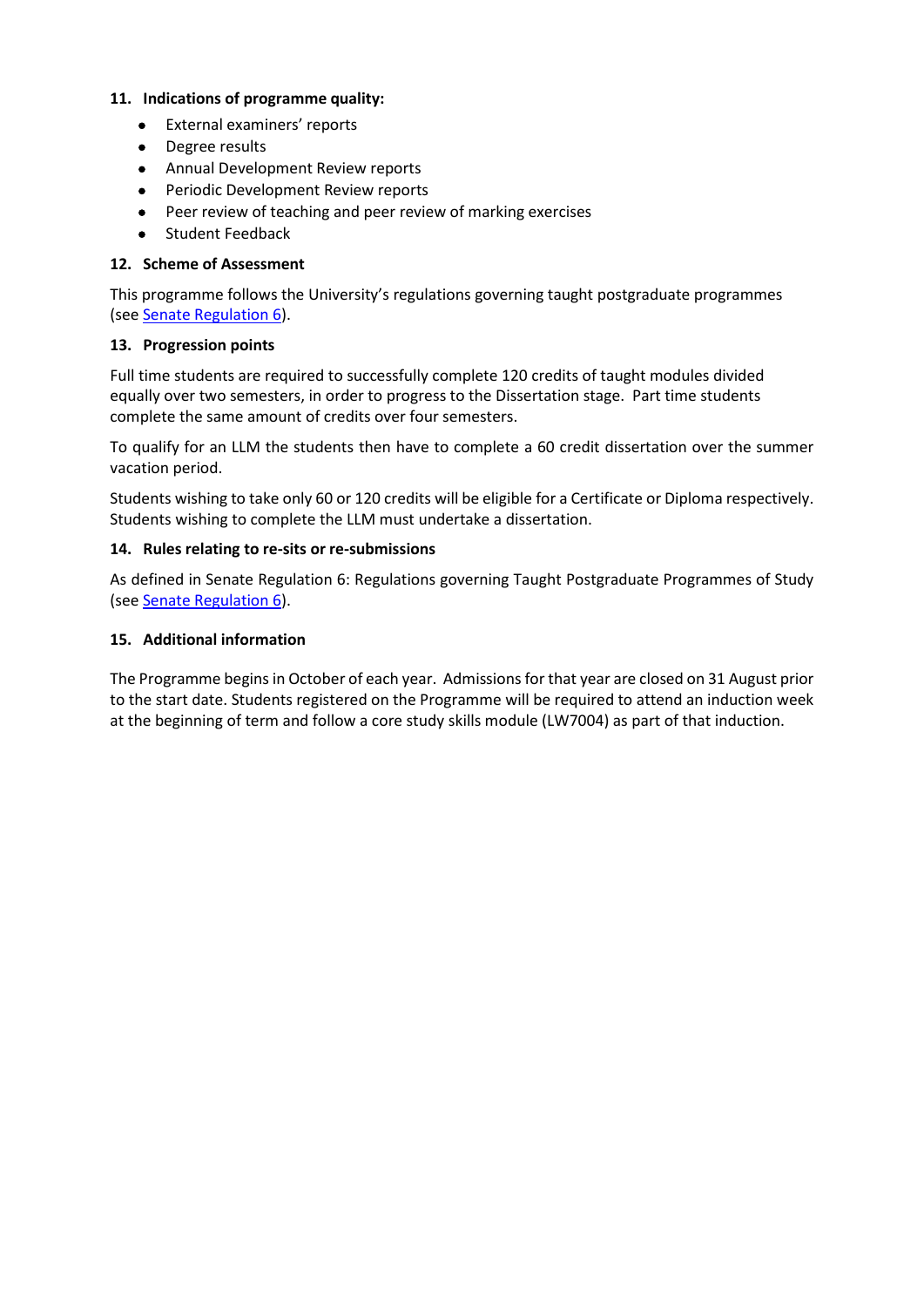### **11. Indications of programme quality:**

- External examiners' reports
- Degree results
- Annual Development Review reports
- Periodic Development Review reports
- Peer review of teaching and peer review of marking exercises
- Student Feedback

# **12. Scheme of Assessment**

This programme follows the University's regulations governing taught postgraduate programmes (see [Senate Regulation 6\)](https://www2.le.ac.uk/offices/sas2/regulations/documents/sr6-taught-postgraduate).

# **13. Progression points**

Full time students are required to successfully complete 120 credits of taught modules divided equally over two semesters, in order to progress to the Dissertation stage. Part time students complete the same amount of credits over four semesters.

To qualify for an LLM the students then have to complete a 60 credit dissertation over the summer vacation period.

Students wishing to take only 60 or 120 credits will be eligible for a Certificate or Diploma respectively. Students wishing to complete the LLM must undertake a dissertation.

## **14. Rules relating to re-sits or re-submissions**

As defined in Senate Regulation 6: Regulations governing Taught Postgraduate Programmes of Study (see [Senate Regulation 6\).](https://www2.le.ac.uk/offices/sas2/regulations/documents/sr6-taught-postgraduate)

## **15. Additional information**

The Programme begins in October of each year. Admissions for that year are closed on 31 August prior to the start date. Students registered on the Programme will be required to attend an induction week at the beginning of term and follow a core study skills module (LW7004) as part of that induction.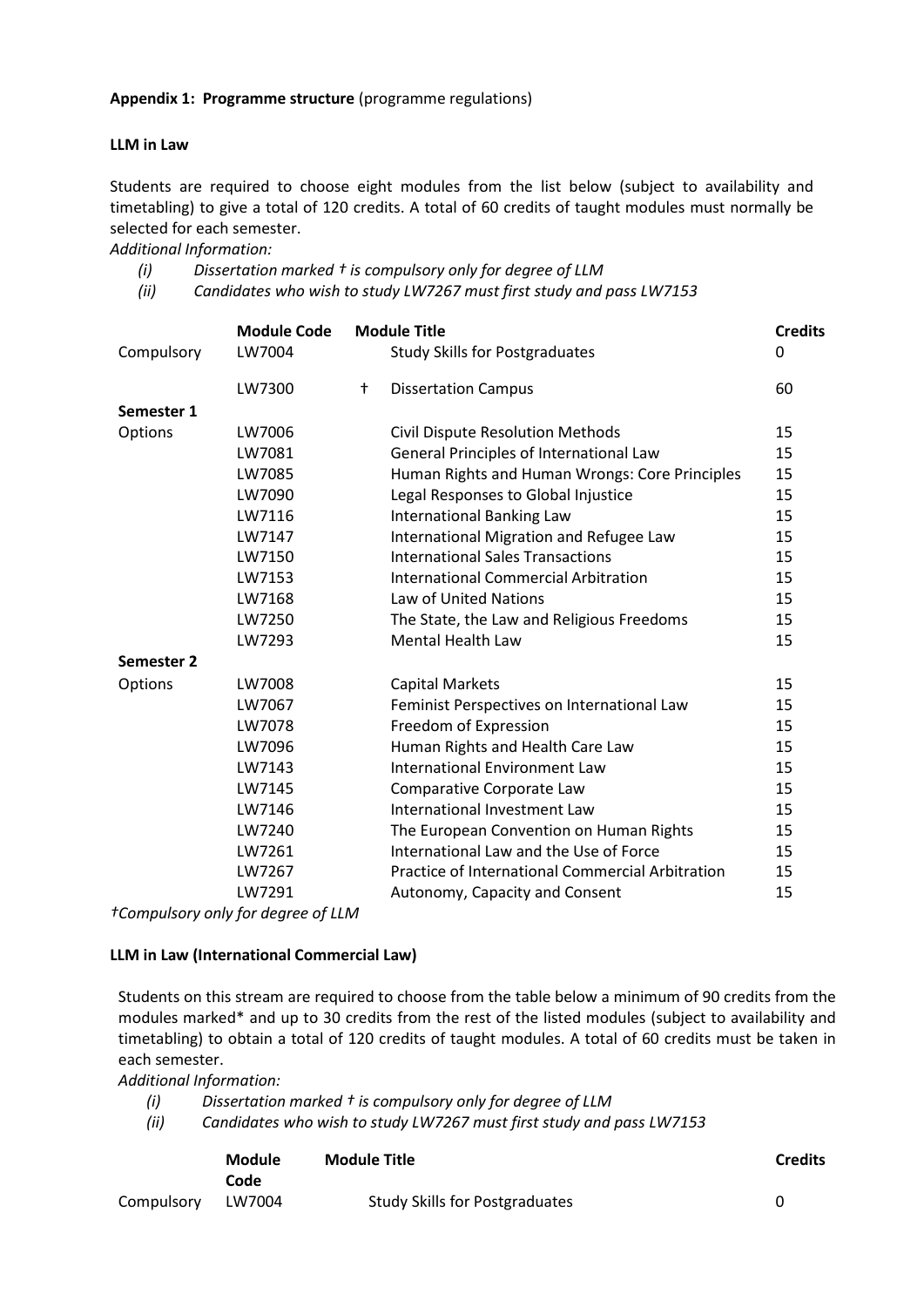### **LLM in Law**

Students are required to choose eight modules from the list below (subject to availability and timetabling) to give a total of 120 credits. A total of 60 credits of taught modules must normally be selected for each semester.

*Additional Information:*

- *(i) Dissertation marked † is compulsory only for degree of LLM*
- *(ii) Candidates who wish to study LW7267 must first study and pass LW7153*

|                   | <b>Module Code</b> |   | <b>Module Title</b>                              | <b>Credits</b> |
|-------------------|--------------------|---|--------------------------------------------------|----------------|
| Compulsory        | LW7004             |   | <b>Study Skills for Postgraduates</b>            | 0              |
|                   | LW7300             | t | <b>Dissertation Campus</b>                       | 60             |
| Semester 1        |                    |   |                                                  |                |
| Options           | LW7006             |   | <b>Civil Dispute Resolution Methods</b>          | 15             |
|                   | LW7081             |   | General Principles of International Law          | 15             |
|                   | LW7085             |   | Human Rights and Human Wrongs: Core Principles   | 15             |
|                   | LW7090             |   | Legal Responses to Global Injustice              | 15             |
|                   | LW7116             |   | <b>International Banking Law</b>                 | 15             |
|                   | LW7147             |   | International Migration and Refugee Law          | 15             |
|                   | LW7150             |   | <b>International Sales Transactions</b>          | 15             |
|                   | LW7153             |   | International Commercial Arbitration             | 15             |
|                   | LW7168             |   | Law of United Nations                            | 15             |
|                   | LW7250             |   | The State, the Law and Religious Freedoms        | 15             |
|                   | LW7293             |   | <b>Mental Health Law</b>                         | 15             |
| <b>Semester 2</b> |                    |   |                                                  |                |
| Options           | LW7008             |   | <b>Capital Markets</b>                           | 15             |
|                   | LW7067             |   | Feminist Perspectives on International Law       | 15             |
|                   | LW7078             |   | Freedom of Expression                            | 15             |
|                   | LW7096             |   | Human Rights and Health Care Law                 | 15             |
|                   | LW7143             |   | <b>International Environment Law</b>             | 15             |
|                   | LW7145             |   | Comparative Corporate Law                        | 15             |
|                   | LW7146             |   | International Investment Law                     | 15             |
|                   | LW7240             |   | The European Convention on Human Rights          | 15             |
|                   | LW7261             |   | International Law and the Use of Force           | 15             |
|                   | LW7267             |   | Practice of International Commercial Arbitration | 15             |
|                   | LW7291             |   | Autonomy, Capacity and Consent                   | 15             |

*†Compulsory only for degree of LLM*

### **LLM in Law (International Commercial Law)**

Students on this stream are required to choose from the table below a minimum of 90 credits from the modules marked\* and up to 30 credits from the rest of the listed modules (subject to availability and timetabling) to obtain a total of 120 credits of taught modules. A total of 60 credits must be taken in each semester.

*Additional Information:*

- *(i) Dissertation marked † is compulsory only for degree of LLM*
- *(ii) Candidates who wish to study LW7267 must first study and pass LW7153*

|            | <b>Module</b><br>Code | <b>Module Title</b>                   | <b>Credits</b> |
|------------|-----------------------|---------------------------------------|----------------|
| Compulsory | LW7004                | <b>Study Skills for Postgraduates</b> |                |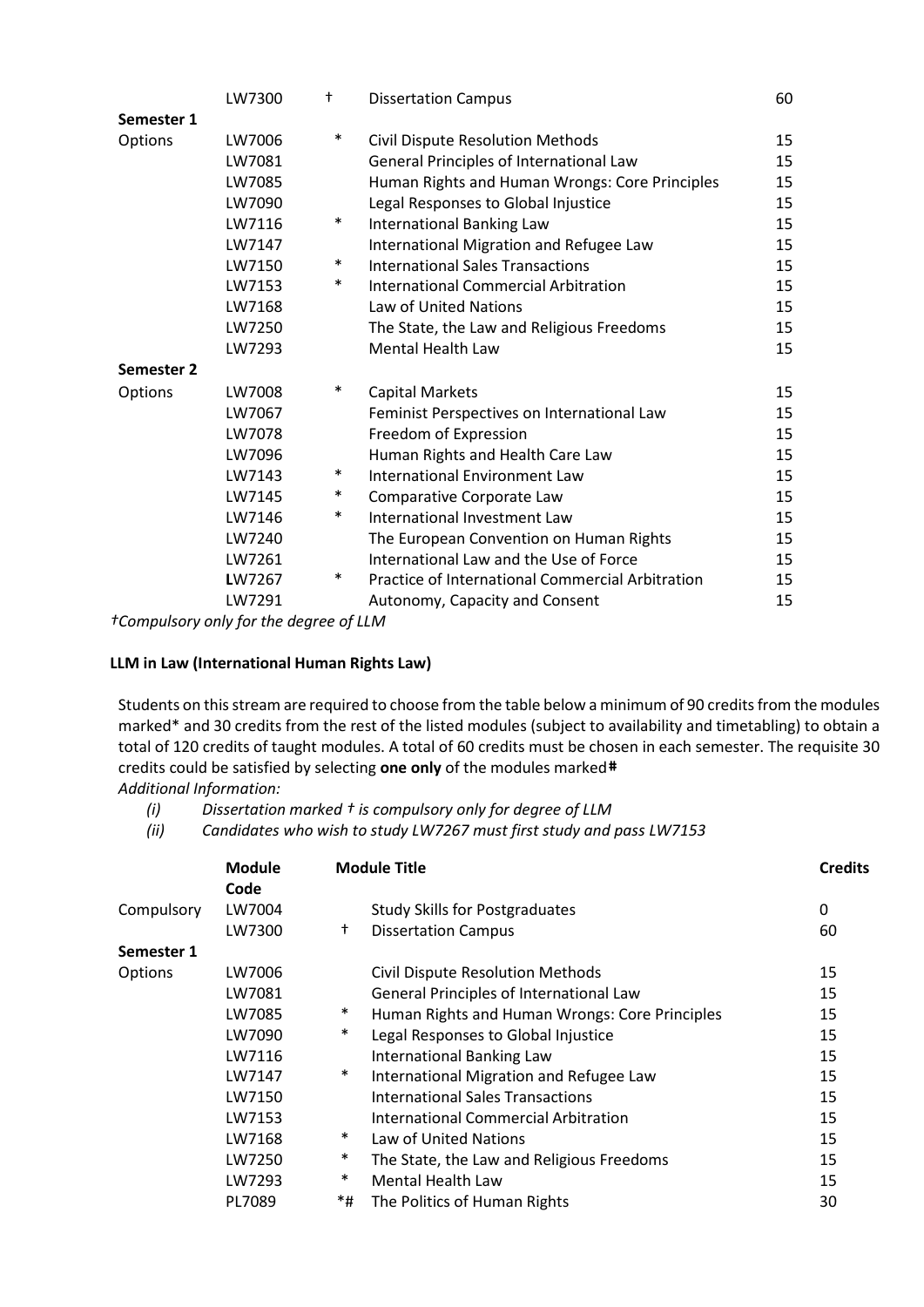|                   | LW7300 | t      | <b>Dissertation Campus</b>                       | 60 |
|-------------------|--------|--------|--------------------------------------------------|----|
| Semester 1        |        |        |                                                  |    |
| Options           | LW7006 | $\ast$ | <b>Civil Dispute Resolution Methods</b>          | 15 |
|                   | LW7081 |        | General Principles of International Law          | 15 |
|                   | LW7085 |        | Human Rights and Human Wrongs: Core Principles   | 15 |
|                   | LW7090 |        | Legal Responses to Global Injustice              | 15 |
|                   | LW7116 | $\ast$ | International Banking Law                        | 15 |
|                   | LW7147 |        | International Migration and Refugee Law          | 15 |
|                   | LW7150 | $\ast$ | <b>International Sales Transactions</b>          | 15 |
|                   | LW7153 | $\ast$ | International Commercial Arbitration             | 15 |
|                   | LW7168 |        | Law of United Nations                            | 15 |
|                   | LW7250 |        | The State, the Law and Religious Freedoms        | 15 |
|                   | LW7293 |        | <b>Mental Health Law</b>                         | 15 |
| <b>Semester 2</b> |        |        |                                                  |    |
| Options           | LW7008 | $\ast$ | <b>Capital Markets</b>                           | 15 |
|                   | LW7067 |        | Feminist Perspectives on International Law       | 15 |
|                   | LW7078 |        | Freedom of Expression                            | 15 |
|                   | LW7096 |        | Human Rights and Health Care Law                 | 15 |
|                   | LW7143 | $\ast$ | <b>International Environment Law</b>             | 15 |
|                   | LW7145 | $\ast$ | Comparative Corporate Law                        | 15 |
|                   | LW7146 | $\ast$ | International Investment Law                     | 15 |
|                   | LW7240 |        | The European Convention on Human Rights          | 15 |
|                   | LW7261 |        | International Law and the Use of Force           | 15 |
|                   | LW7267 | $\ast$ | Practice of International Commercial Arbitration | 15 |
|                   | LW7291 |        | Autonomy, Capacity and Consent                   | 15 |

*†Compulsory only for the degree of LLM*

### **LLM in Law (International Human Rights Law)**

Students on this stream are required to choose from the table below a minimum of 90 credits from the modules marked\* and 30 credits from the rest of the listed modules (subject to availability and timetabling) to obtain a total of 120 credits of taught modules. A total of 60 credits must be chosen in each semester. The requisite 30 credits could be satisfied by selecting **one only** of the modules marked# *Additional Information:* 

*(i) Dissertation marked † is compulsory only for degree of LLM*

*(ii) Candidates who wish to study LW7267 must first study and pass LW7153* 

|            | <b>Module</b><br>Code |                 | <b>Module Title</b>                            | <b>Credits</b> |
|------------|-----------------------|-----------------|------------------------------------------------|----------------|
| Compulsory | LW7004                |                 | <b>Study Skills for Postgraduates</b>          | 0              |
|            | LW7300                | $^{\mathrm{+}}$ | <b>Dissertation Campus</b>                     | 60             |
| Semester 1 |                       |                 |                                                |                |
| Options    | LW7006                |                 | <b>Civil Dispute Resolution Methods</b>        | 15             |
|            | LW7081                |                 | General Principles of International Law        | 15             |
|            | LW7085                | $\ast$          | Human Rights and Human Wrongs: Core Principles | 15             |
|            | LW7090                | $\ast$          | Legal Responses to Global Injustice            | 15             |
|            | LW7116                |                 | <b>International Banking Law</b>               | 15             |
|            | LW7147                | $\ast$          | International Migration and Refugee Law        | 15             |
|            | LW7150                |                 | <b>International Sales Transactions</b>        | 15             |
|            | LW7153                |                 | <b>International Commercial Arbitration</b>    | 15             |
|            | LW7168                | $\ast$          | Law of United Nations                          | 15             |
|            | LW7250                | $\ast$          | The State, the Law and Religious Freedoms      | 15             |
|            | LW7293                | $\ast$          | <b>Mental Health Law</b>                       | 15             |
|            | PL7089                | *#              | The Politics of Human Rights                   | 30             |
|            |                       |                 |                                                |                |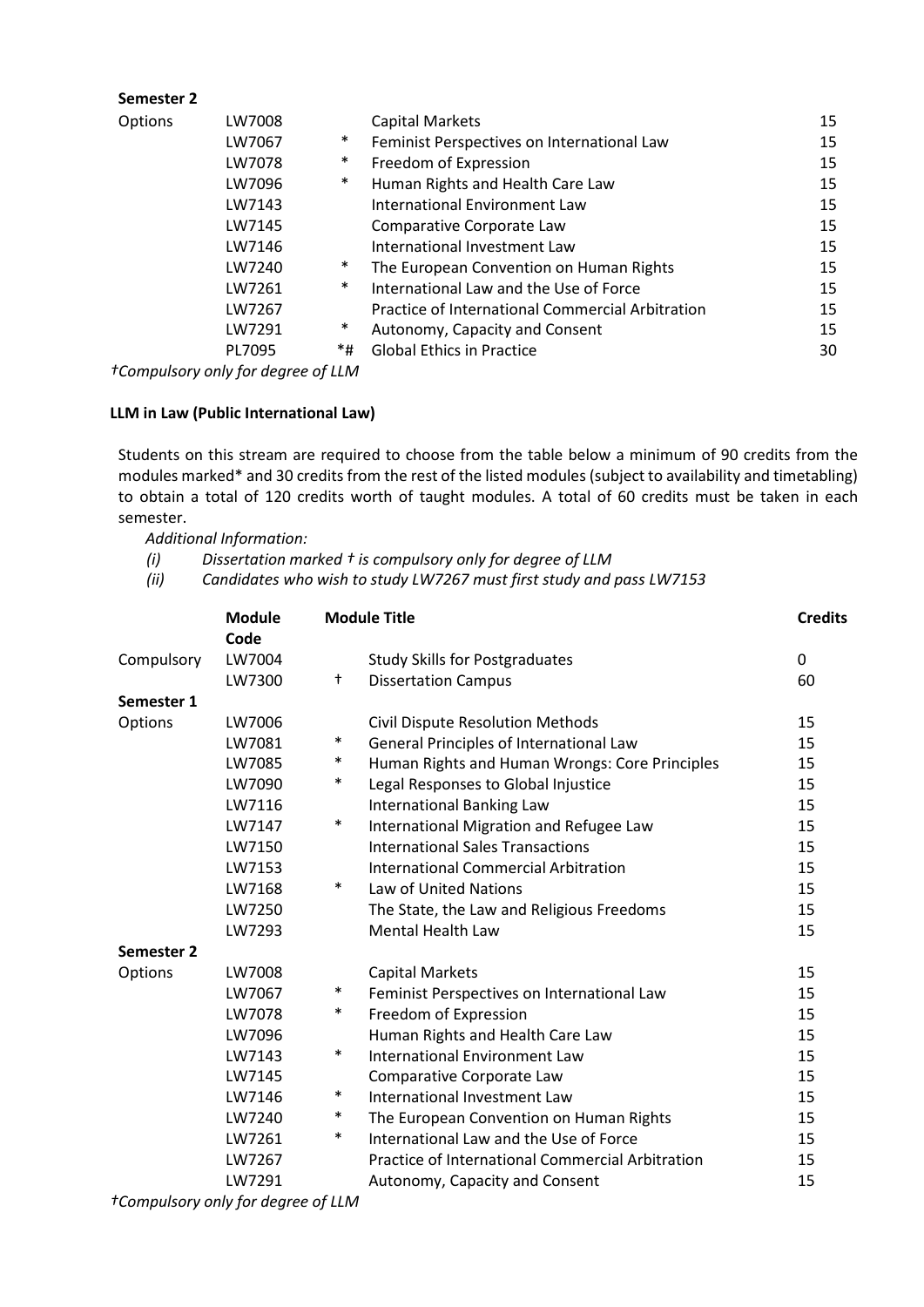| Semester 2 |        |        |                                                  |    |
|------------|--------|--------|--------------------------------------------------|----|
| Options    | LW7008 |        | <b>Capital Markets</b>                           | 15 |
|            | LW7067 | $\ast$ | Feminist Perspectives on International Law       | 15 |
|            | LW7078 | $\ast$ | Freedom of Expression                            | 15 |
|            | LW7096 | $\ast$ | Human Rights and Health Care Law                 | 15 |
|            | LW7143 |        | International Environment Law                    | 15 |
|            | LW7145 |        | Comparative Corporate Law                        | 15 |
|            | LW7146 |        | International Investment Law                     | 15 |
|            | LW7240 | $\ast$ | The European Convention on Human Rights          | 15 |
|            | LW7261 | $\ast$ | International Law and the Use of Force           | 15 |
|            | LW7267 |        | Practice of International Commercial Arbitration | 15 |
|            | LW7291 | $\ast$ | Autonomy, Capacity and Consent                   | 15 |
|            | PL7095 | *#     | <b>Global Ethics in Practice</b>                 | 30 |
|            |        |        |                                                  |    |

*†Compulsory only for degree of LLM*

**Semester 2**

# **LLM in Law (Public International Law)**

Students on this stream are required to choose from the table below a minimum of 90 credits from the modules marked\* and 30 credits from the rest of the listed modules (subject to availability and timetabling) to obtain a total of 120 credits worth of taught modules. A total of 60 credits must be taken in each semester.

 *Additional Information:* 

*(i) Dissertation marked † is compulsory only for degree of LLM*

*(ii) Candidates who wish to study LW7267 must first study and pass LW7153* 

|            | <b>Module</b><br>Code |                             | <b>Module Title</b>                              | <b>Credits</b> |
|------------|-----------------------|-----------------------------|--------------------------------------------------|----------------|
| Compulsory | LW7004                |                             | <b>Study Skills for Postgraduates</b>            | $\mathbf{0}$   |
|            | LW7300                | t                           | <b>Dissertation Campus</b>                       | 60             |
| Semester 1 |                       |                             |                                                  |                |
| Options    | LW7006                |                             | <b>Civil Dispute Resolution Methods</b>          | 15             |
|            | LW7081                | $\ast$                      | General Principles of International Law          | 15             |
|            | LW7085                | $\ast$                      | Human Rights and Human Wrongs: Core Principles   | 15             |
|            | LW7090                | $\ast$                      | Legal Responses to Global Injustice              | 15             |
|            | LW7116                |                             | <b>International Banking Law</b>                 | 15             |
|            | LW7147                | $\ast$                      | International Migration and Refugee Law          | 15             |
|            | LW7150                |                             | <b>International Sales Transactions</b>          | 15             |
|            | LW7153                |                             | <b>International Commercial Arbitration</b>      | 15             |
|            | LW7168                | $\ast$                      | Law of United Nations                            | 15             |
|            | LW7250                |                             | The State, the Law and Religious Freedoms        | 15             |
|            | LW7293                |                             | <b>Mental Health Law</b>                         | 15             |
| Semester 2 |                       |                             |                                                  |                |
| Options    | LW7008                |                             | <b>Capital Markets</b>                           | 15             |
|            | LW7067                | $\ast$                      | Feminist Perspectives on International Law       | 15             |
|            | LW7078                | $\ast$                      | Freedom of Expression                            | 15             |
|            | LW7096                |                             | Human Rights and Health Care Law                 | 15             |
|            | LW7143                | $\ast$                      | <b>International Environment Law</b>             | 15             |
|            | LW7145                |                             | Comparative Corporate Law                        | 15             |
|            | LW7146                | $\ast$                      | International Investment Law                     | 15             |
|            | LW7240                | $\ast$                      | The European Convention on Human Rights          | 15             |
|            | LW7261                | $\ast$                      | International Law and the Use of Force           | 15             |
|            | LW7267                |                             | Practice of International Commercial Arbitration | 15             |
|            | LW7291                | $\mathbf{r}$ , $\mathbf{r}$ | Autonomy, Capacity and Consent                   | 15             |

*†Compulsory only for degree of LLM*